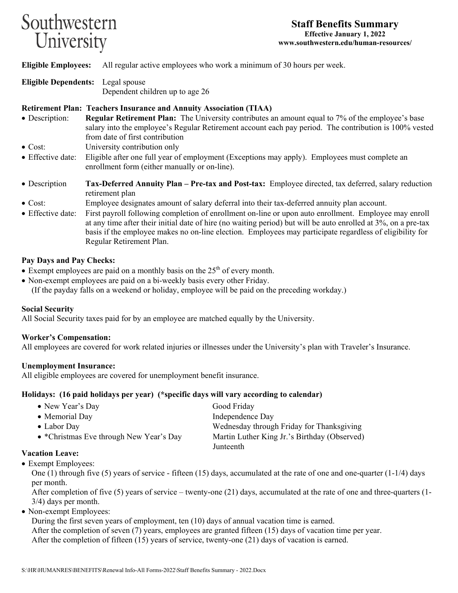# Southwestern University

**Eligible Employees:** All regular active employees who work a minimum of 30 hours per week.

**Eligible Dependents:** Legal spouse Dependent children up to age 26

# **Retirement Plan: Teachers Insurance and Annuity Association (TIAA)**

- Description: **Regular Retirement Plan:** The University contributes an amount equal to 7% of the employee's base salary into the employee's Regular Retirement account each pay period. The contribution is 100% vested from date of first contribution
- Cost: University contribution only
- Effective date: Eligible after one full year of employment (Exceptions may apply). Employees must complete an enrollment form (either manually or on-line).
- Description **Tax-Deferred Annuity Plan Pre-tax and Post-tax:** Employee directed, tax deferred, salary reduction retirement plan
- Cost: Employee designates amount of salary deferral into their tax-deferred annuity plan account.
- Effective date: First payroll following completion of enrollment on-line or upon auto enrollment. Employee may enroll at any time after their initial date of hire (no waiting period) but will be auto enrolled at 3%, on a pre-tax basis if the employee makes no on-line election. Employees may participate regardless of eligibility for Regular Retirement Plan.

# **Pay Days and Pay Checks:**

- Exempt employees are paid on a monthly basis on the  $25<sup>th</sup>$  of every month.
- Non-exempt employees are paid on a bi-weekly basis every other Friday.

(If the payday falls on a weekend or holiday, employee will be paid on the preceding workday.)

#### **Social Security**

All Social Security taxes paid for by an employee are matched equally by the University.

# **Worker's Compensation:**

All employees are covered for work related injuries or illnesses under the University's plan with Traveler's Insurance.

#### **Unemployment Insurance:**

All eligible employees are covered for unemployment benefit insurance.

#### **Holidays: (16 paid holidays per year) (\*specific days will vary according to calendar)**

| • New Year's Day                        | Good Friday                                  |
|-----------------------------------------|----------------------------------------------|
| • Memorial Day                          | Independence Day                             |
| $\bullet$ Labor Day                     | Wednesday through Friday for Thanksgiving    |
| • *Christmas Eve through New Year's Day | Martin Luther King Jr.'s Birthday (Observed) |
|                                         | Junteenth                                    |

#### **Vacation Leave:**

• Exempt Employees:

One  $(1)$  through five  $(5)$  years of service - fifteen  $(15)$  days, accumulated at the rate of one and one-quarter  $(1-1/4)$  days per month.

After completion of five (5) years of service – twenty-one (21) days, accumulated at the rate of one and three-quarters (1- 3/4) days per month.

• Non-exempt Employees:

During the first seven years of employment, ten (10) days of annual vacation time is earned. After the completion of seven (7) years, employees are granted fifteen (15) days of vacation time per year. After the completion of fifteen (15) years of service, twenty-one (21) days of vacation is earned.